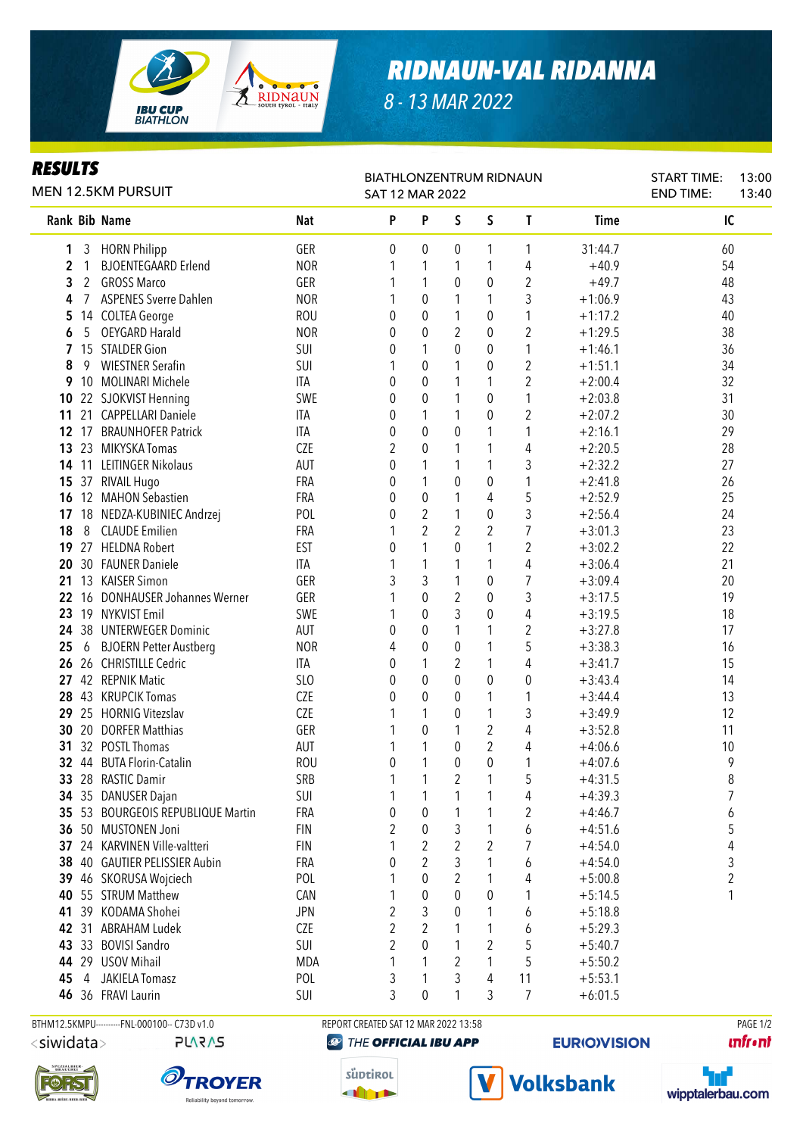

## *RIDNAUN-VAL RIDANNA*

*8 - 13 MAR 2022*

#### *RESULTS*

| <b>MEN 12.5KM PURSUIT</b> |              |    |                                           | <b>BIATHLONZENTRUM RIDNAUN</b><br>SAT 12 MAR 2022 |                | <b>START TIME:</b><br><b>END TIME:</b> | 13:00<br>13:40 |                  |                |                        |         |  |
|---------------------------|--------------|----|-------------------------------------------|---------------------------------------------------|----------------|----------------------------------------|----------------|------------------|----------------|------------------------|---------|--|
|                           |              |    | Rank Bib Name                             | <b>Nat</b>                                        | P              | P                                      | S              | S                | T              | Time                   | IC      |  |
|                           | 1            | 3  | <b>HORN Philipp</b>                       | GER                                               | 0              | 0                                      | 0              | 1                | 1              | 31:44.7                | 60      |  |
|                           | 2            | 1  | <b>BJOENTEGAARD Erlend</b>                | <b>NOR</b>                                        |                | 1                                      | 1              | 1                | 4              | $+40.9$                | 54      |  |
|                           | 3            | 2  | <b>GROSS Marco</b>                        | GER                                               |                | 1                                      | 0              | 0                | 2              | $+49.7$                | 48      |  |
|                           | 4            | 7  | <b>ASPENES Sverre Dahlen</b>              | <b>NOR</b>                                        |                | 0                                      | 1              | 1                | 3              | $+1:06.9$              | 43      |  |
|                           | 5            |    | 14 COLTEA George                          | <b>ROU</b>                                        | 0              | 0                                      | 1              | 0                | 1              | $+1:17.2$              | 40      |  |
|                           | 6            | 5  | <b>OEYGARD Harald</b>                     | <b>NOR</b>                                        | 0              | 0                                      | 2              | 0                | $\overline{2}$ | $+1:29.5$              | 38      |  |
|                           | $\mathbf{7}$ |    | 15 STALDER Gion                           | SUI                                               | 0              | 1                                      | 0              | 0                | 1              | $+1:46.1$              | 36      |  |
|                           | 8            | 9  | <b>WIESTNER Serafin</b>                   | SUI                                               | 1              | 0                                      | 1              | 0                | $\overline{2}$ | $+1:51.1$              | 34      |  |
|                           | 9            |    | 10 MOLINARI Michele                       | <b>ITA</b>                                        | 0              | 0                                      | 1              | 1                | $\overline{2}$ | $+2:00.4$              | 32      |  |
|                           | 10           |    | 22 SJOKVIST Henning                       | SWE                                               | 0              | 0                                      | 1              | 0                | 1              | $+2:03.8$              | 31      |  |
|                           | 11           |    | 21 CAPPELLARI Daniele                     | <b>ITA</b>                                        | 0              | 1                                      | 1              | 0                | $\overline{2}$ | $+2:07.2$              | 30      |  |
|                           | $12 \t17$    |    | <b>BRAUNHOFER Patrick</b>                 | <b>ITA</b>                                        | 0              | 0                                      | 0              | 1                | 1              | $+2:16.1$              | 29      |  |
|                           | 13 23        |    | MIKYSKA Tomas                             | <b>CZE</b>                                        | 2              | $\mathbf 0$                            | 1              | 1                | 4              | $+2:20.5$              | 28      |  |
|                           |              |    | 14 11 LEITINGER Nikolaus                  | <b>AUT</b>                                        | 0              | 1                                      | 1              | 1                | 3              | $+2:32.2$              | 27      |  |
|                           |              |    | 15 37 RIVAIL Hugo                         | FRA                                               | 0              | 1                                      | $\pmb{0}$      | 0                | 1              | $+2:41.8$              | 26      |  |
|                           | 16           |    | 12 MAHON Sebastien                        | FRA                                               | 0              | $\pmb{0}$                              | 1              | 4                | 5              | $+2:52.9$              | 25      |  |
|                           | 17           |    | 18 NEDZA-KUBINIEC Andrzej                 | POL                                               | 0              | $\overline{2}$                         | 1              | $\mathbf 0$      | 3              | $+2:56.4$              | 24      |  |
|                           | 18           | 8  | <b>CLAUDE Emilien</b>                     | FRA                                               |                | $\overline{2}$                         | $\overline{2}$ | $\overline{2}$   | $\overline{7}$ | $+3:01.3$              | 23      |  |
|                           | 19           | 27 | <b>HELDNA Robert</b>                      | <b>EST</b>                                        | 0              | 1                                      | $\mathbf{0}$   | 1                | $\overline{2}$ | $+3:02.2$              | 22      |  |
|                           |              |    | 20 30 FAUNER Daniele                      | <b>ITA</b>                                        |                | 1                                      | 1              | 1                | 4              | $+3:06.4$              | 21      |  |
|                           | 21           |    | 13 KAISER Simon                           | GER                                               | 3              | 3                                      | 1              | 0                | 7              | $+3:09.4$              | 20      |  |
|                           | 22           |    | 16 DONHAUSER Johannes Werner              | GER                                               |                | 0                                      | $\overline{2}$ | $\pmb{0}$        | 3              | $+3:17.5$              | 19      |  |
|                           | 23           |    | 19 NYKVIST Emil                           | SWE                                               | 1              | 0                                      | 3              | 0                | 4              | $+3:19.5$              | 18      |  |
|                           | 24           |    | 38 UNTERWEGER Dominic                     | AUT                                               | 0              | 0                                      | 1              | 1                | 2              | $+3:27.8$              | 17      |  |
|                           | 25           |    | 6 BJOERN Petter Austberg                  | <b>NOR</b>                                        | 4              | 0                                      | 0              | 1                | 5              | $+3:38.3$              | 16      |  |
|                           |              |    | 26 26 CHRISTILLE Cedric                   | <b>ITA</b>                                        | 0              | 1                                      | 2              | 1                | 4              | $+3:41.7$              | 15      |  |
|                           |              |    | 27 42 REPNIK Matic                        | SLO                                               | 0              | 0                                      | 0              | 0                | 0              | $+3:43.4$              | 14      |  |
|                           | 28           |    | 43 KRUPCIK Tomas                          | <b>CZE</b>                                        | 0              | 0                                      | 0              | 1                | 1              | $+3:44.4$              | 13      |  |
|                           | 29           |    | 25 HORNIG Vitezslav                       | CZE                                               | 1              | 1                                      | 0              | 1                | 3              | $+3:49.9$              | 12      |  |
|                           | 30           | 20 | <b>DORFER Matthias</b><br>32 POSTL Thomas | GER                                               | 1              | 0                                      | 1<br>$\theta$  | $\overline{2}$   | 4              | $+3:52.8$<br>$+4:06.6$ | 11      |  |
|                           | 31           |    | 32 44 BUTA Florin-Catalin                 | <b>AUT</b><br><b>ROU</b>                          | 1<br>0         | 1<br>1                                 | 0              | 2<br>$\mathbf 0$ | 4<br>1         | $+4:07.6$              | 10<br>9 |  |
|                           |              |    | 33 28 RASTIC Damir                        | SRB                                               | $\mathbf{1}$   | 1                                      | $\overline{2}$ | 1                |                | $+4:31.5$              | 8       |  |
|                           |              |    | 34 35 DANUSER Dajan                       | SUI                                               | 1              | 1                                      | 1              | 1                | 5<br>4         | $+4:39.3$              | 7       |  |
|                           |              |    | 35 53 BOURGEOIS REPUBLIQUE Martin         | <b>FRA</b>                                        | 0              | 0                                      |                | 1                | 2              | $+4:46.7$              | 6       |  |
|                           |              |    | 36 50 MUSTONEN Joni                       | <b>FIN</b>                                        | $\overline{2}$ | 0                                      | 3              | 1                | 6              | $+4:51.6$              | 5       |  |
|                           | 37           |    | 24 KARVINEN Ville-valtteri                | <b>FIN</b>                                        |                | $\overline{\mathbf{c}}$                | $\overline{2}$ | $\overline{2}$   | 7              | $+4:54.0$              | 4       |  |
|                           | 38           |    | 40 GAUTIER PELISSIER Aubin                | FRA                                               | 0              | $\overline{2}$                         | 3              | 1                | 6              | $+4:54.0$              | 3       |  |
|                           |              |    | 39 46 SKORUSA Wojciech                    | POL                                               |                | 0                                      | $\overline{2}$ | 1                | 4              | $+5:00.8$              | 2       |  |
|                           | 40           |    | 55 STRUM Matthew                          | CAN                                               | 1              | 0                                      | 0              | 0                | 1              | $+5:14.5$              | 1       |  |
|                           | 41           | 39 | KODAMA Shohei                             | <b>JPN</b>                                        | 2              | 3                                      | 0              | 1                | 6              | $+5:18.8$              |         |  |
|                           | 42           | 31 | <b>ABRAHAM Ludek</b>                      | CZE                                               | $\overline{2}$ | $\overline{2}$                         |                | 1                | 6              | $+5:29.3$              |         |  |
|                           | 43 33        |    | <b>BOVISI Sandro</b>                      | SUI                                               | 2              | 0                                      |                | $\overline{2}$   | 5              | $+5:40.7$              |         |  |
|                           |              |    | 44 29 USOV Mihail                         | MDA                                               | 1              | 1                                      | 2              | 1                | 5              | $+5:50.2$              |         |  |
|                           | 45           | 4  | JAKIELA Tomasz                            | POL                                               | 3              | 1                                      | 3              | 4                | 11             | $+5:53.1$              |         |  |
|                           |              |    | 46 36 FRAVI Laurin                        | SUI                                               | 3              | 0                                      |                | 3                | 7              | $+6:01.5$              |         |  |
|                           |              |    |                                           |                                                   |                |                                        |                |                  |                |                        |         |  |

BTHM12.5KMPU---------FNL-000100-- C73D v1.0 REPORT CREATED SAT 12 MAR 2022 13:58 PAGE 1/2 <siwidata>

```
PLARAS
```






süptirol

**THEFT** 

#### **EURIO)VISION**

**Volksbank** 

**unfront**